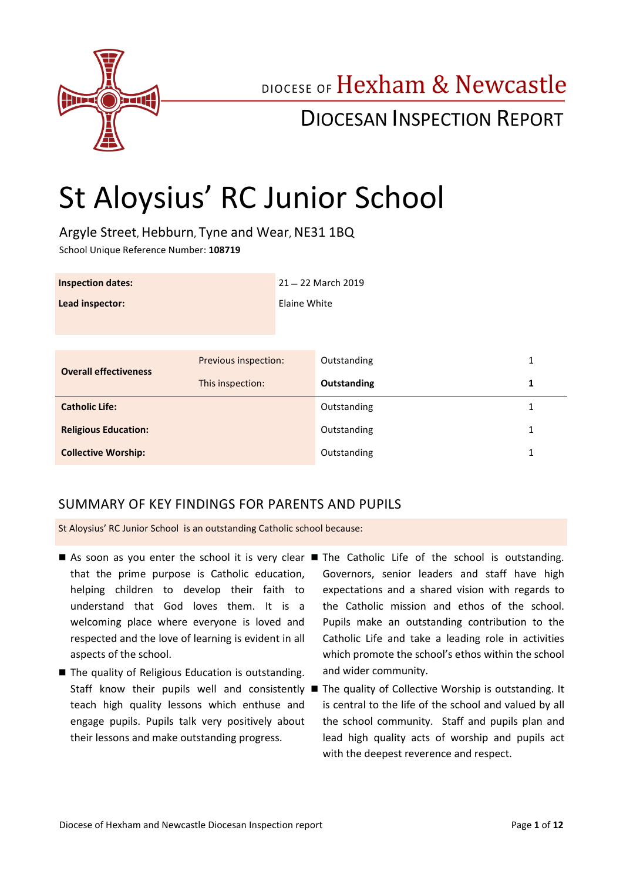

# DIOCESE OF Hexham & Newcastle

# DIOCESAN INSPECTION REPORT

# St Aloysius' RC Junior School

Argyle Street, Hebburn, Tyne and Wear, NE31 1BQ School Unique Reference Number: **108719**

| <b>Inspection dates:</b>     |                      |              | 21 - 22 March 2019 |   |  |
|------------------------------|----------------------|--------------|--------------------|---|--|
| Lead inspector:              |                      | Elaine White |                    |   |  |
|                              |                      |              |                    |   |  |
| <b>Overall effectiveness</b> | Previous inspection: |              | Outstanding        | 1 |  |
|                              | This inspection:     |              | Outstanding        | 1 |  |
| <b>Catholic Life:</b>        |                      |              | Outstanding        | 1 |  |
| <b>Religious Education:</b>  |                      |              | Outstanding        | 1 |  |
| <b>Collective Worship:</b>   |                      | Outstanding  | 1                  |   |  |

## SUMMARY OF KEY FINDINGS FOR PARENTS AND PUPILS

St Aloysius' RC Junior School is an outstanding Catholic school because:

- As soon as you enter the school it is very clear The Catholic Life of the school is outstanding. that the prime purpose is Catholic education, helping children to develop their faith to understand that God loves them. It is a welcoming place where everyone is loved and respected and the love of learning is evident in all aspects of the school.
- The quality of Religious Education is outstanding. teach high quality lessons which enthuse and engage pupils. Pupils talk very positively about their lessons and make outstanding progress.
- Governors, senior leaders and staff have high expectations and a shared vision with regards to the Catholic mission and ethos of the school. Pupils make an outstanding contribution to the Catholic Life and take a leading role in activities which promote the school's ethos within the school and wider community.
- Staff know their pupils well and consistently The quality of Collective Worship is outstanding. It is central to the life of the school and valued by all the school community. Staff and pupils plan and lead high quality acts of worship and pupils act with the deepest reverence and respect.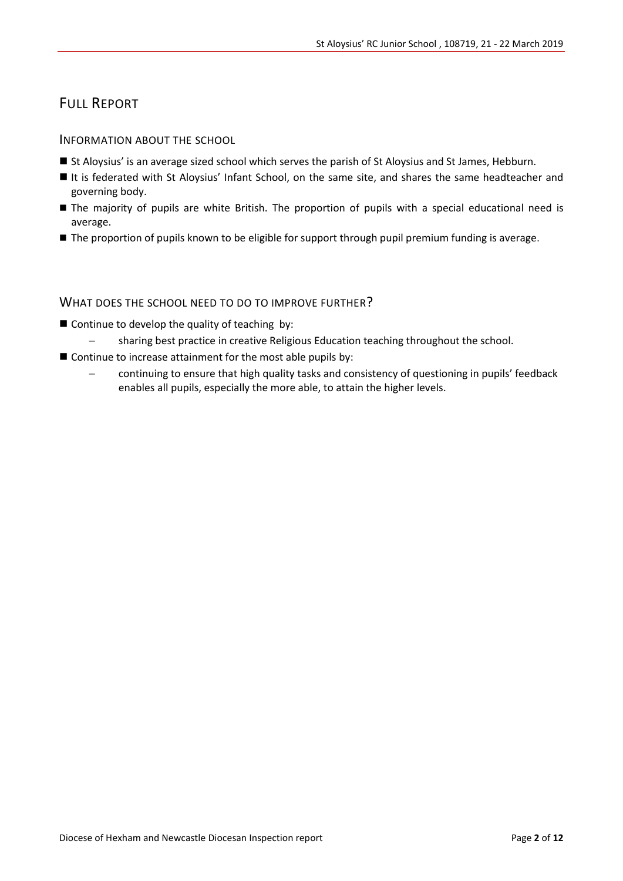# FULL REPORT

#### INFORMATION ABOUT THE SCHOOL

- St Aloysius' is an average sized school which serves the parish of St Aloysius and St James, Hebburn.
- It is federated with St Aloysius' Infant School, on the same site, and shares the same headteacher and governing body.
- The majority of pupils are white British. The proportion of pupils with a special educational need is average.
- The proportion of pupils known to be eligible for support through pupil premium funding is average.

#### WHAT DOES THE SCHOOL NEED TO DO TO IMPROVE FURTHER?

- $\blacksquare$  Continue to develop the quality of teaching by:
	- sharing best practice in creative Religious Education teaching throughout the school.
- $\blacksquare$  Continue to increase attainment for the most able pupils by:
	- continuing to ensure that high quality tasks and consistency of questioning in pupils' feedback enables all pupils, especially the more able, to attain the higher levels.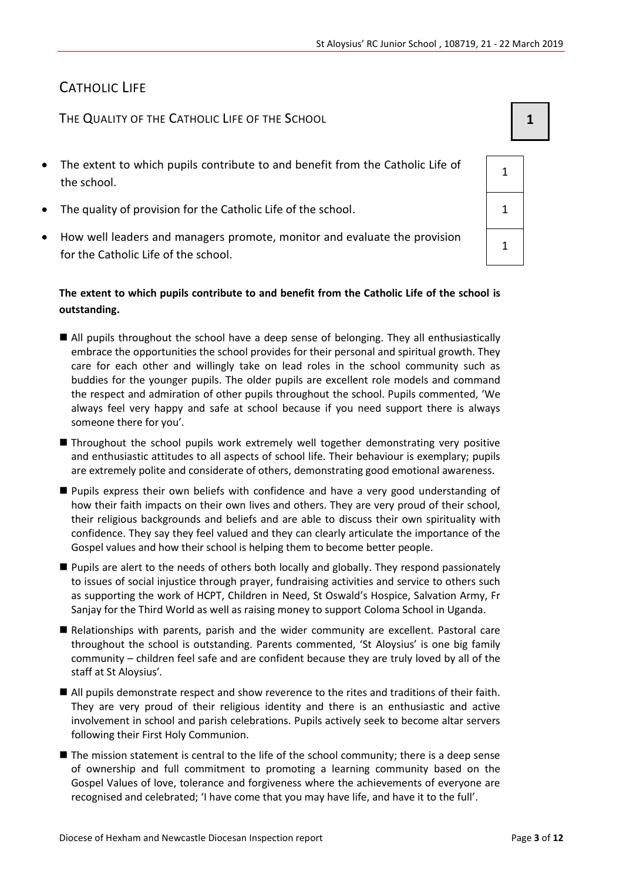1

1

# CATHOLIC LIFE

THE QUALITY OF THE CATHOLIC LIFE OF THE SCHOOL **1 1** 

- The extent to which pupils contribute to and benefit from the Catholic Life of the school.
- The quality of provision for the Catholic Life of the school.  $1 \t 1$
- How well leaders and managers promote, monitor and evaluate the provision for the Catholic Life of the school.

#### **The extent to which pupils contribute to and benefit from the Catholic Life of the school is outstanding.**

- All pupils throughout the school have a deep sense of belonging. They all enthusiastically embrace the opportunities the school provides for their personal and spiritual growth. They care for each other and willingly take on lead roles in the school community such as buddies for the younger pupils. The older pupils are excellent role models and command the respect and admiration of other pupils throughout the school. Pupils commented, 'We always feel very happy and safe at school because if you need support there is always someone there for you'*.*
- Throughout the school pupils work extremely well together demonstrating very positive and enthusiastic attitudes to all aspects of school life. Their behaviour is exemplary; pupils are extremely polite and considerate of others, demonstrating good emotional awareness.
- **Pupils express their own beliefs with confidence and have a very good understanding of** how their faith impacts on their own lives and others. They are very proud of their school, their religious backgrounds and beliefs and are able to discuss their own spirituality with confidence. They say they feel valued and they can clearly articulate the importance of the Gospel values and how their school is helping them to become better people.
- **Pupils are alert to the needs of others both locally and globally. They respond passionately** to issues of social injustice through prayer, fundraising activities and service to others such as supporting the work of HCPT, Children in Need, St Oswald's Hospice, Salvation Army, Fr Sanjay for the Third World as well as raising money to support Coloma School in Uganda.
- Relationships with parents, parish and the wider community are excellent. Pastoral care throughout the school is outstanding. Parents commented, 'St Aloysius' is one big family community – children feel safe and are confident because they are truly loved by all of the staff at St Aloysius'*.*
- All pupils demonstrate respect and show reverence to the rites and traditions of their faith. They are very proud of their religious identity and there is an enthusiastic and active involvement in school and parish celebrations. Pupils actively seek to become altar servers following their First Holy Communion.
- The mission statement is central to the life of the school community; there is a deep sense of ownership and full commitment to promoting a learning community based on the Gospel Values of love, tolerance and forgiveness where the achievements of everyone are recognised and celebrated; 'I have come that you may have life, and have it to the full'.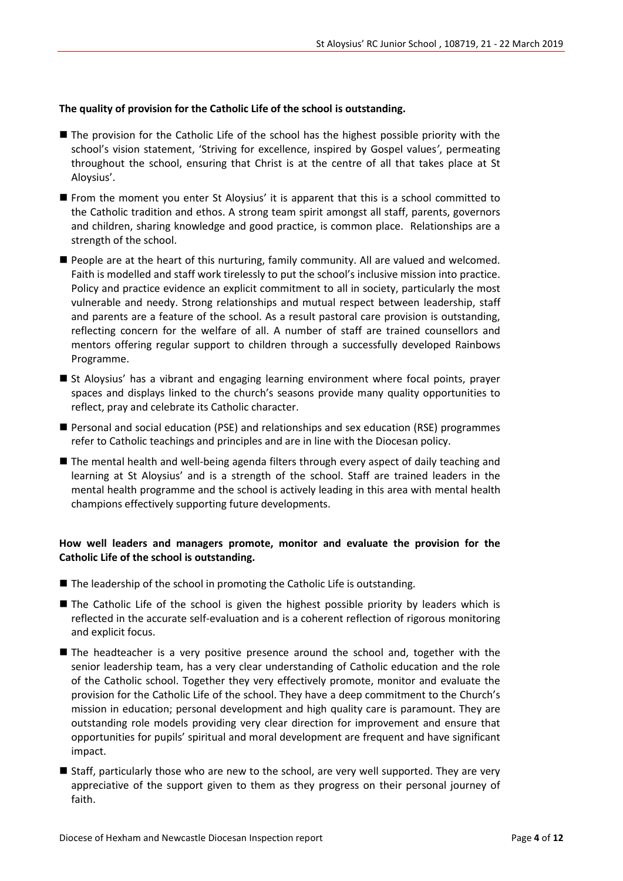#### **The quality of provision for the Catholic Life of the school is outstanding.**

- The provision for the Catholic Life of the school has the highest possible priority with the school's vision statement, 'Striving for excellence, inspired by Gospel values*'*, permeating throughout the school, ensuring that Christ is at the centre of all that takes place at St Aloysius'.
- From the moment you enter St Aloysius' it is apparent that this is a school committed to the Catholic tradition and ethos. A strong team spirit amongst all staff, parents, governors and children, sharing knowledge and good practice, is common place. Relationships are a strength of the school.
- **People are at the heart of this nurturing, family community. All are valued and welcomed.** Faith is modelled and staff work tirelessly to put the school's inclusive mission into practice. Policy and practice evidence an explicit commitment to all in society, particularly the most vulnerable and needy. Strong relationships and mutual respect between leadership, staff and parents are a feature of the school. As a result pastoral care provision is outstanding, reflecting concern for the welfare of all. A number of staff are trained counsellors and mentors offering regular support to children through a successfully developed Rainbows Programme.
- St Aloysius' has a vibrant and engaging learning environment where focal points, prayer spaces and displays linked to the church's seasons provide many quality opportunities to reflect, pray and celebrate its Catholic character.
- Personal and social education (PSE) and relationships and sex education (RSE) programmes refer to Catholic teachings and principles and are in line with the Diocesan policy.
- The mental health and well-being agenda filters through every aspect of daily teaching and learning at St Aloysius' and is a strength of the school. Staff are trained leaders in the mental health programme and the school is actively leading in this area with mental health champions effectively supporting future developments.

#### **How well leaders and managers promote, monitor and evaluate the provision for the Catholic Life of the school is outstanding.**

- The leadership of the school in promoting the Catholic Life is outstanding.
- The Catholic Life of the school is given the highest possible priority by leaders which is reflected in the accurate self-evaluation and is a coherent reflection of rigorous monitoring and explicit focus.
- The headteacher is a very positive presence around the school and, together with the senior leadership team, has a very clear understanding of Catholic education and the role of the Catholic school. Together they very effectively promote, monitor and evaluate the provision for the Catholic Life of the school. They have a deep commitment to the Church's mission in education; personal development and high quality care is paramount. They are outstanding role models providing very clear direction for improvement and ensure that opportunities for pupils' spiritual and moral development are frequent and have significant impact.
- Staff, particularly those who are new to the school, are very well supported. They are very appreciative of the support given to them as they progress on their personal journey of faith.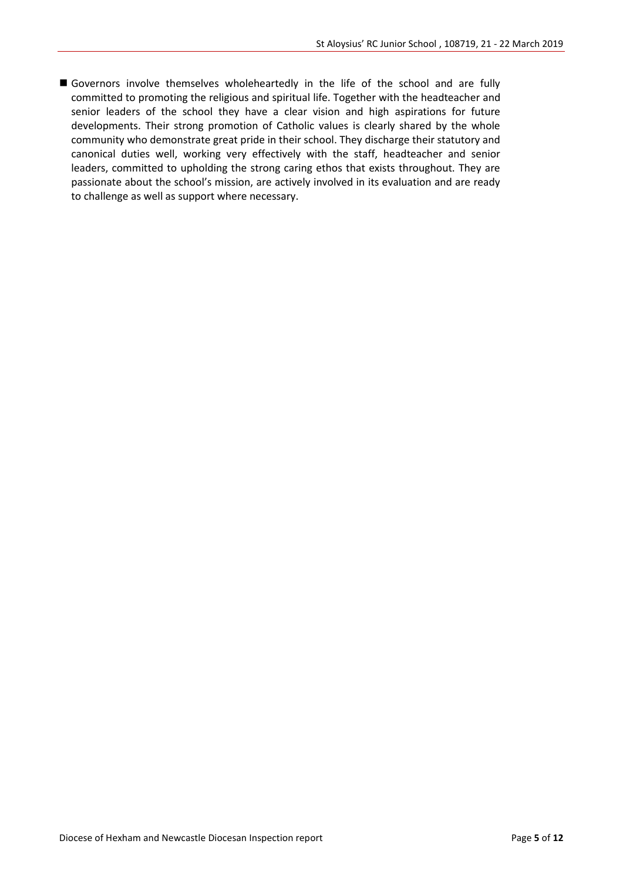Governors involve themselves wholeheartedly in the life of the school and are fully committed to promoting the religious and spiritual life. Together with the headteacher and senior leaders of the school they have a clear vision and high aspirations for future developments. Their strong promotion of Catholic values is clearly shared by the whole community who demonstrate great pride in their school. They discharge their statutory and canonical duties well, working very effectively with the staff, headteacher and senior leaders, committed to upholding the strong caring ethos that exists throughout. They are passionate about the school's mission, are actively involved in its evaluation and are ready to challenge as well as support where necessary.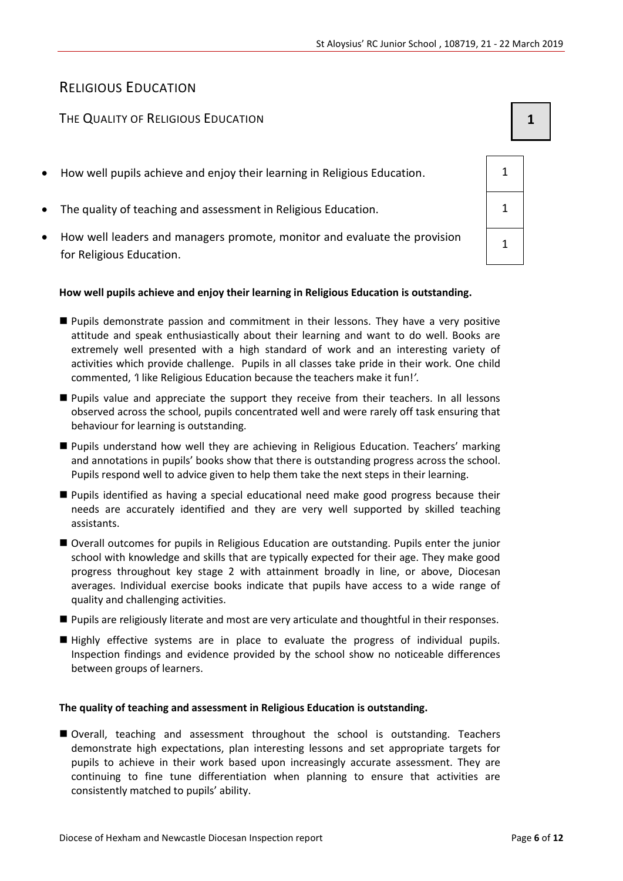# RELIGIOUS EDUCATION

# The Quality of Religious Education **1 1 1**

- How well pupils achieve and enjoy their learning in Religious Education. 1
- The quality of teaching and assessment in Religious Education. 1
- How well leaders and managers promote, monitor and evaluate the provision for Religious Education.

#### **How well pupils achieve and enjoy their learning in Religious Education is outstanding.**

- Pupils demonstrate passion and commitment in their lessons. They have a very positive attitude and speak enthusiastically about their learning and want to do well. Books are extremely well presented with a high standard of work and an interesting variety of activities which provide challenge. Pupils in all classes take pride in their work. One child commented, *'*I like Religious Education because the teachers make it fun!*'.*
- **Pupils value and appreciate the support they receive from their teachers. In all lessons** observed across the school, pupils concentrated well and were rarely off task ensuring that behaviour for learning is outstanding.
- Pupils understand how well they are achieving in Religious Education. Teachers' marking and annotations in pupils' books show that there is outstanding progress across the school. Pupils respond well to advice given to help them take the next steps in their learning.
- Pupils identified as having a special educational need make good progress because their needs are accurately identified and they are very well supported by skilled teaching assistants.
- Overall outcomes for pupils in Religious Education are outstanding. Pupils enter the junior school with knowledge and skills that are typically expected for their age. They make good progress throughout key stage 2 with attainment broadly in line, or above, Diocesan averages. Individual exercise books indicate that pupils have access to a wide range of quality and challenging activities.
- **Pupils are religiously literate and most are very articulate and thoughtful in their responses.**
- Highly effective systems are in place to evaluate the progress of individual pupils. Inspection findings and evidence provided by the school show no noticeable differences between groups of learners.

#### **The quality of teaching and assessment in Religious Education is outstanding.**

 Overall, teaching and assessment throughout the school is outstanding. Teachers demonstrate high expectations, plan interesting lessons and set appropriate targets for pupils to achieve in their work based upon increasingly accurate assessment. They are continuing to fine tune differentiation when planning to ensure that activities are consistently matched to pupils' ability.

| $\overline{1}$ |  |
|----------------|--|
| 1              |  |
| 1              |  |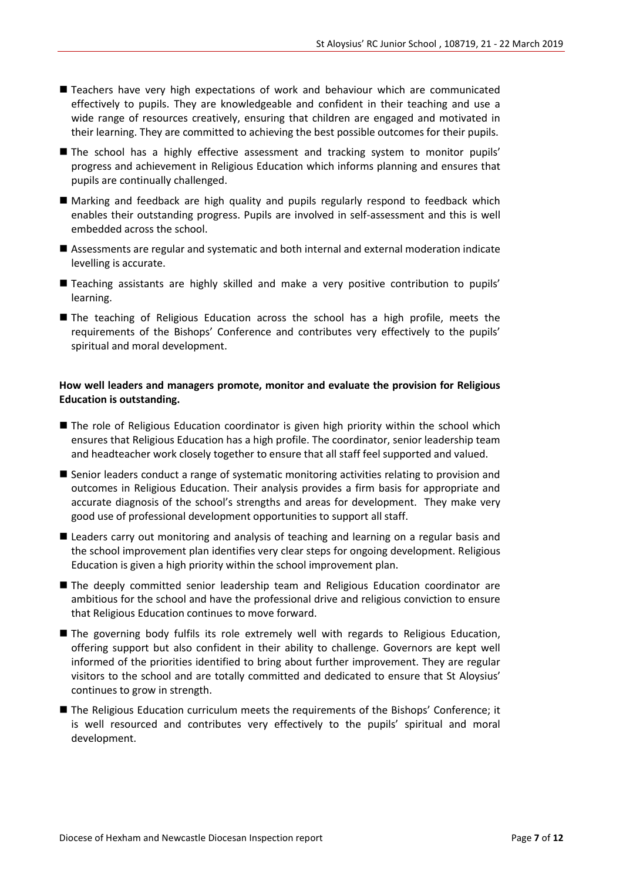- Teachers have very high expectations of work and behaviour which are communicated effectively to pupils. They are knowledgeable and confident in their teaching and use a wide range of resources creatively, ensuring that children are engaged and motivated in their learning. They are committed to achieving the best possible outcomes for their pupils.
- The school has a highly effective assessment and tracking system to monitor pupils' progress and achievement in Religious Education which informs planning and ensures that pupils are continually challenged.
- Marking and feedback are high quality and pupils regularly respond to feedback which enables their outstanding progress. Pupils are involved in self-assessment and this is well embedded across the school.
- Assessments are regular and systematic and both internal and external moderation indicate levelling is accurate.
- Teaching assistants are highly skilled and make a very positive contribution to pupils' learning.
- The teaching of Religious Education across the school has a high profile, meets the requirements of the Bishops' Conference and contributes very effectively to the pupils' spiritual and moral development.

#### **How well leaders and managers promote, monitor and evaluate the provision for Religious Education is outstanding.**

- **The role of Religious Education coordinator is given high priority within the school which** ensures that Religious Education has a high profile. The coordinator, senior leadership team and headteacher work closely together to ensure that all staff feel supported and valued.
- Senior leaders conduct a range of systematic monitoring activities relating to provision and outcomes in Religious Education. Their analysis provides a firm basis for appropriate and accurate diagnosis of the school's strengths and areas for development. They make very good use of professional development opportunities to support all staff.
- Leaders carry out monitoring and analysis of teaching and learning on a regular basis and the school improvement plan identifies very clear steps for ongoing development. Religious Education is given a high priority within the school improvement plan.
- The deeply committed senior leadership team and Religious Education coordinator are ambitious for the school and have the professional drive and religious conviction to ensure that Religious Education continues to move forward.
- The governing body fulfils its role extremely well with regards to Religious Education, offering support but also confident in their ability to challenge. Governors are kept well informed of the priorities identified to bring about further improvement. They are regular visitors to the school and are totally committed and dedicated to ensure that St Aloysius' continues to grow in strength.
- The Religious Education curriculum meets the requirements of the Bishops' Conference; it is well resourced and contributes very effectively to the pupils' spiritual and moral development.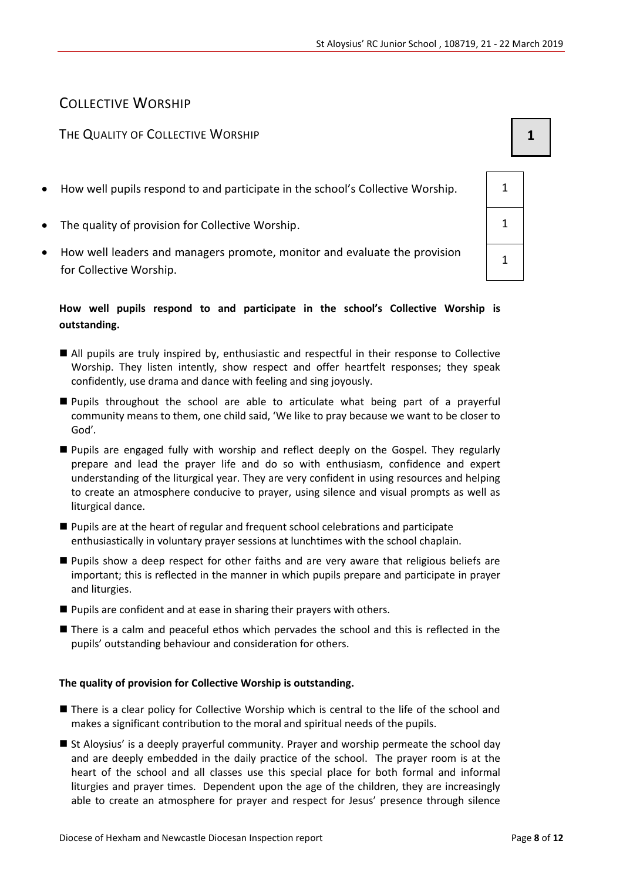# COLLECTIVE WORSHIP

# THE QUALITY OF COLLECTIVE WORSHIP **1 1**

- How well pupils respond to and participate in the school's Collective Worship. 1
- The quality of provision for Collective Worship.
- How well leaders and managers promote, monitor and evaluate the provision for Collective Worship.

### **How well pupils respond to and participate in the school's Collective Worship is outstanding.**

- All pupils are truly inspired by, enthusiastic and respectful in their response to Collective Worship. They listen intently, show respect and offer heartfelt responses; they speak confidently, use drama and dance with feeling and sing joyously.
- Pupils throughout the school are able to articulate what being part of a prayerful community means to them, one child said, 'We like to pray because we want to be closer to God'*.*
- Pupils are engaged fully with worship and reflect deeply on the Gospel. They regularly prepare and lead the prayer life and do so with enthusiasm, confidence and expert understanding of the liturgical year. They are very confident in using resources and helping to create an atmosphere conducive to prayer, using silence and visual prompts as well as liturgical dance.
- Pupils are at the heart of regular and frequent school celebrations and participate enthusiastically in voluntary prayer sessions at lunchtimes with the school chaplain.
- Pupils show a deep respect for other faiths and are very aware that religious beliefs are important; this is reflected in the manner in which pupils prepare and participate in prayer and liturgies.
- **Pupils are confident and at ease in sharing their prayers with others.**
- There is a calm and peaceful ethos which pervades the school and this is reflected in the pupils' outstanding behaviour and consideration for others.

## **The quality of provision for Collective Worship is outstanding.**

- There is a clear policy for Collective Worship which is central to the life of the school and makes a significant contribution to the moral and spiritual needs of the pupils.
- St Aloysius' is a deeply prayerful community. Prayer and worship permeate the school day and are deeply embedded in the daily practice of the school. The prayer room is at the heart of the school and all classes use this special place for both formal and informal liturgies and prayer times. Dependent upon the age of the children, they are increasingly able to create an atmosphere for prayer and respect for Jesus' presence through silence

| 1 |  |
|---|--|
| 1 |  |
| 1 |  |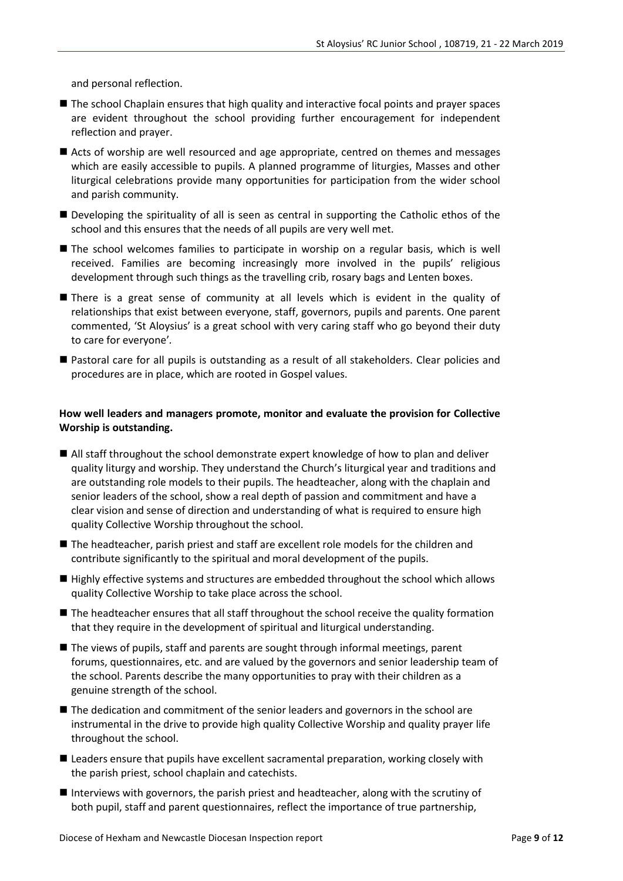and personal reflection.

- The school Chaplain ensures that high quality and interactive focal points and prayer spaces are evident throughout the school providing further encouragement for independent reflection and prayer.
- Acts of worship are well resourced and age appropriate, centred on themes and messages which are easily accessible to pupils. A planned programme of liturgies, Masses and other liturgical celebrations provide many opportunities for participation from the wider school and parish community.
- Developing the spirituality of all is seen as central in supporting the Catholic ethos of the school and this ensures that the needs of all pupils are very well met.
- **The school welcomes families to participate in worship on a regular basis, which is well** received. Families are becoming increasingly more involved in the pupils' religious development through such things as the travelling crib, rosary bags and Lenten boxes.
- There is a great sense of community at all levels which is evident in the quality of relationships that exist between everyone, staff, governors, pupils and parents. One parent commented, 'St Aloysius' is a great school with very caring staff who go beyond their duty to care for everyone'*.*
- Pastoral care for all pupils is outstanding as a result of all stakeholders. Clear policies and procedures are in place, which are rooted in Gospel values.

#### **How well leaders and managers promote, monitor and evaluate the provision for Collective Worship is outstanding.**

- All staff throughout the school demonstrate expert knowledge of how to plan and deliver quality liturgy and worship. They understand the Church's liturgical year and traditions and are outstanding role models to their pupils. The headteacher, along with the chaplain and senior leaders of the school, show a real depth of passion and commitment and have a clear vision and sense of direction and understanding of what is required to ensure high quality Collective Worship throughout the school.
- The headteacher, parish priest and staff are excellent role models for the children and contribute significantly to the spiritual and moral development of the pupils.
- Highly effective systems and structures are embedded throughout the school which allows quality Collective Worship to take place across the school.
- The headteacher ensures that all staff throughout the school receive the quality formation that they require in the development of spiritual and liturgical understanding.
- The views of pupils, staff and parents are sought through informal meetings, parent forums, questionnaires, etc. and are valued by the governors and senior leadership team of the school. Parents describe the many opportunities to pray with their children as a genuine strength of the school.
- $\blacksquare$  The dedication and commitment of the senior leaders and governors in the school are instrumental in the drive to provide high quality Collective Worship and quality prayer life throughout the school.
- **E** Leaders ensure that pupils have excellent sacramental preparation, working closely with the parish priest, school chaplain and catechists.
- Interviews with governors, the parish priest and headteacher, along with the scrutiny of both pupil, staff and parent questionnaires, reflect the importance of true partnership,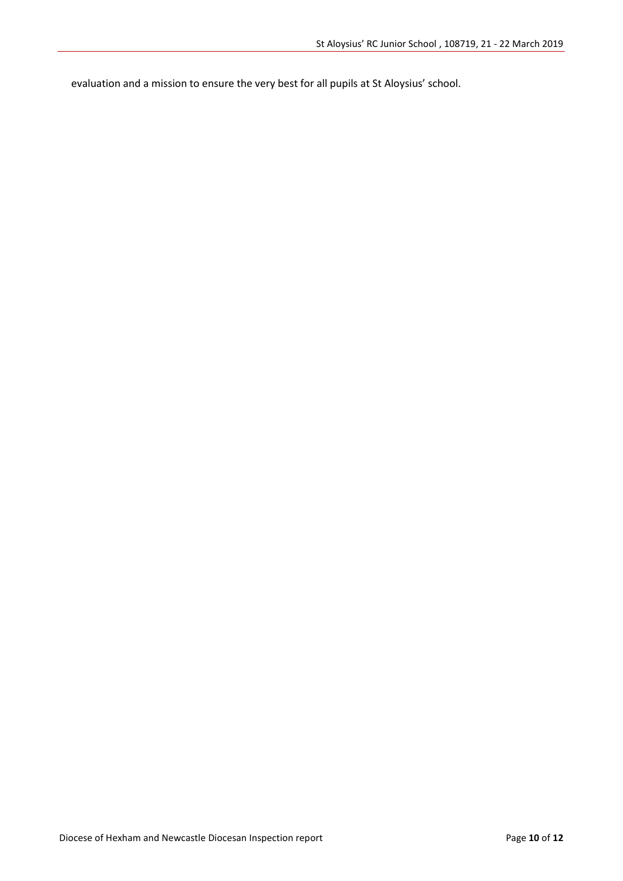evaluation and a mission to ensure the very best for all pupils at St Aloysius' school.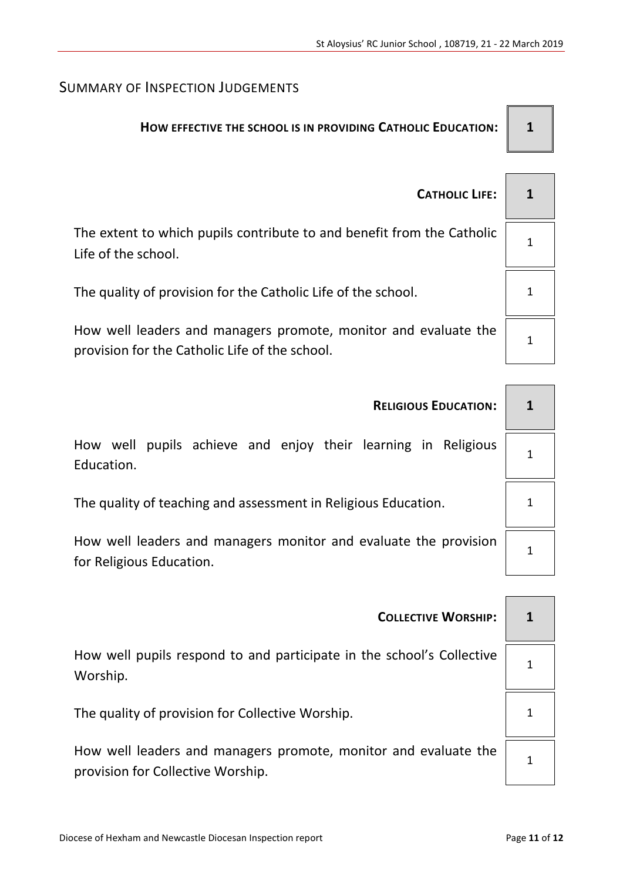# SUMMARY OF INSPECTION JUDGEMENTS

# **HOW EFFECTIVE THE SCHOOL IS IN PROVIDING CATHOLIC EDUCATION: 1**

| <b>CATHOLIC LIFE:</b>                                                                                             | $\mathbf 1$ |
|-------------------------------------------------------------------------------------------------------------------|-------------|
| The extent to which pupils contribute to and benefit from the Catholic<br>Life of the school.                     |             |
| The quality of provision for the Catholic Life of the school.                                                     |             |
| How well leaders and managers promote, monitor and evaluate the<br>provision for the Catholic Life of the school. |             |

|                                                                                              |  |  |   |   |  | <b>RELIGIOUS EDUCATION:</b>                          |  |
|----------------------------------------------------------------------------------------------|--|--|---|---|--|------------------------------------------------------|--|
| How well<br>Education.                                                                       |  |  |   |   |  | pupils achieve and enjoy their learning in Religious |  |
| The quality of teaching and assessment in Religious Education.                               |  |  |   | 1 |  |                                                      |  |
| How well leaders and managers monitor and evaluate the provision<br>for Religious Education. |  |  | 1 |   |  |                                                      |  |
|                                                                                              |  |  |   |   |  |                                                      |  |

| <b>COLLECTIVE WORSHIP:</b>                                                                           |   |
|------------------------------------------------------------------------------------------------------|---|
| How well pupils respond to and participate in the school's Collective<br>Worship.                    |   |
| The quality of provision for Collective Worship.                                                     | 1 |
| How well leaders and managers promote, monitor and evaluate the<br>provision for Collective Worship. |   |